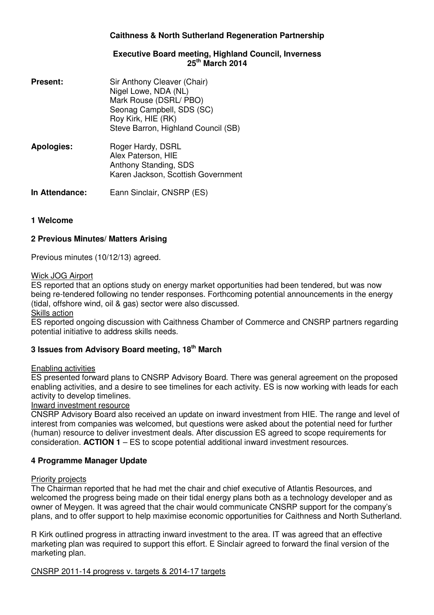# **Caithness & North Sutherland Regeneration Partnership**

## **Executive Board meeting, Highland Council, Inverness 25th March 2014**

| <b>Present:</b> | Sir Anthony Cleaver (Chair)<br>Nigel Lowe, NDA (NL)<br>Mark Rouse (DSRL/ PBO)<br>Seonag Campbell, SDS (SC)<br>Roy Kirk, HIE (RK)<br>Steve Barron, Highland Council (SB) |
|-----------------|-------------------------------------------------------------------------------------------------------------------------------------------------------------------------|
| Apologies:      | Roger Hardy, DSRL<br>Alex Paterson, HIE<br>Anthony Standing, SDS<br>Karen Jackson, Scottish Government                                                                  |
| In Attendance:  | Eann Sinclair, CNSRP (ES)                                                                                                                                               |

## **1 Welcome**

## **2 Previous Minutes/ Matters Arising**

Previous minutes (10/12/13) agreed.

### Wick JOG Airport

ES reported that an options study on energy market opportunities had been tendered, but was now being re-tendered following no tender responses. Forthcoming potential announcements in the energy (tidal, offshore wind, oil & gas) sector were also discussed.

Skills action

ES reported ongoing discussion with Caithness Chamber of Commerce and CNSRP partners regarding potential initiative to address skills needs.

# **3 Issues from Advisory Board meeting, 18th March**

### Enabling activities

ES presented forward plans to CNSRP Advisory Board. There was general agreement on the proposed enabling activities, and a desire to see timelines for each activity. ES is now working with leads for each activity to develop timelines.

### Inward investment resource

CNSRP Advisory Board also received an update on inward investment from HIE. The range and level of interest from companies was welcomed, but questions were asked about the potential need for further (human) resource to deliver investment deals. After discussion ES agreed to scope requirements for consideration. **ACTION 1** – ES to scope potential additional inward investment resources.

### **4 Programme Manager Update**

### Priority projects

The Chairman reported that he had met the chair and chief executive of Atlantis Resources, and welcomed the progress being made on their tidal energy plans both as a technology developer and as owner of Meygen. It was agreed that the chair would communicate CNSRP support for the company's plans, and to offer support to help maximise economic opportunities for Caithness and North Sutherland.

R Kirk outlined progress in attracting inward investment to the area. IT was agreed that an effective marketing plan was required to support this effort. E Sinclair agreed to forward the final version of the marketing plan.

CNSRP 2011-14 progress v. targets & 2014-17 targets